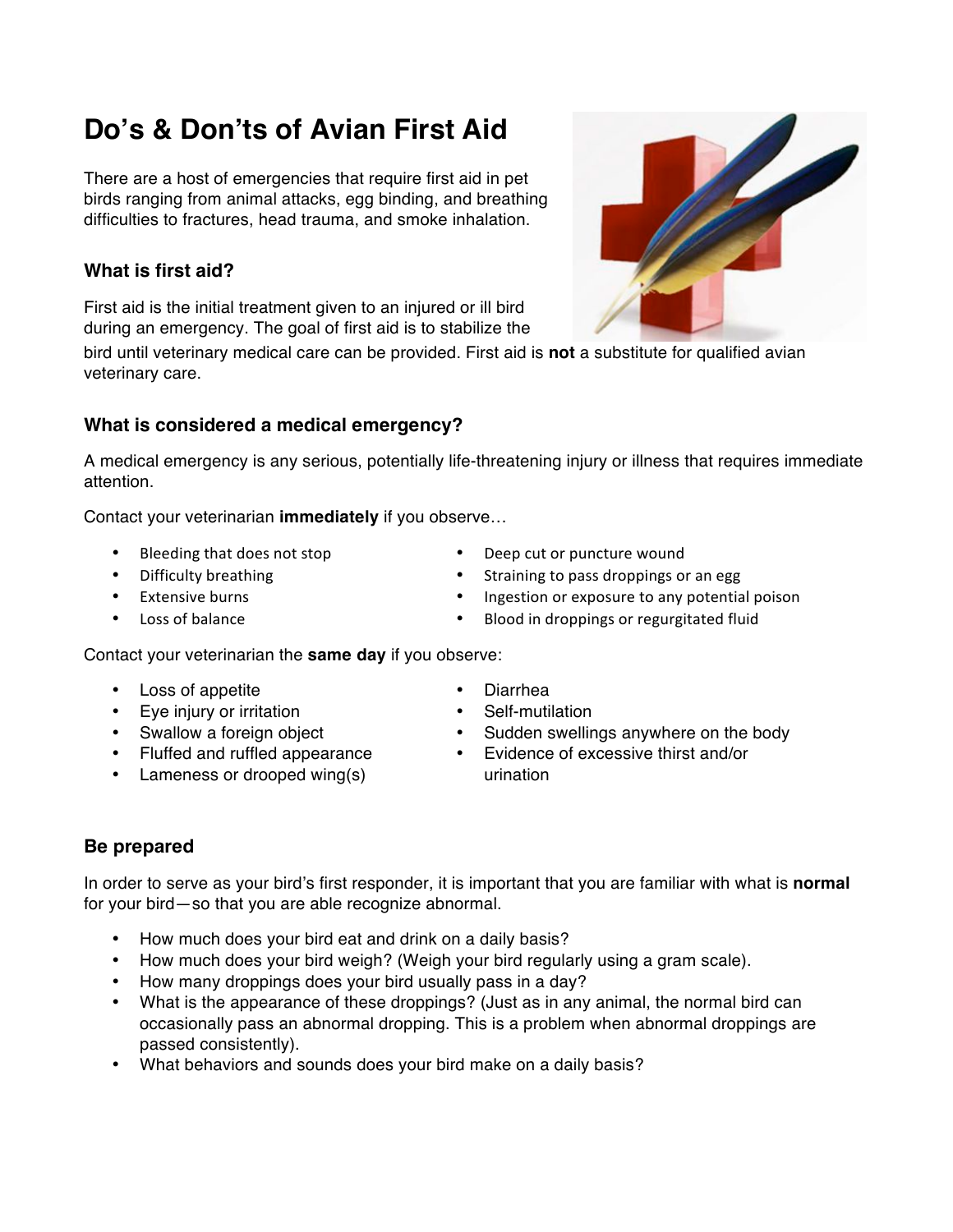# **Do's & Don'ts of Avian First Aid**

There are a host of emergencies that require first aid in pet birds ranging from animal attacks, egg binding, and breathing difficulties to fractures, head trauma, and smoke inhalation.

# **What is first aid?**

First aid is the initial treatment given to an injured or ill bird during an emergency. The goal of first aid is to stabilize the

bird until veterinary medical care can be provided. First aid is **not** a substitute for qualified avian veterinary care.

# **What is considered a medical emergency?**

A medical emergency is any serious, potentially life-threatening injury or illness that requires immediate attention.

Contact your veterinarian **immediately** if you observe…

- Bleeding that does not stop
- **Difficulty breathing**
- Extensive burns
- Loss of balance

Contact your veterinarian the **same day** if you observe:

- Loss of appetite
- Eye injury or irritation
- Swallow a foreign object
- Fluffed and ruffled appearance
- Lameness or drooped wing(s)
- Deep cut or puncture wound
- Straining to pass droppings or an egg
- Ingestion or exposure to any potential poison
- Blood in droppings or regurgitated fluid
- Diarrhea
- Self-mutilation
- Sudden swellings anywhere on the body
- Evidence of excessive thirst and/or urination

# **Be prepared**

In order to serve as your bird's first responder, it is important that you are familiar with what is **normal** for your bird—so that you are able recognize abnormal.

- How much does your bird eat and drink on a daily basis?
- How much does your bird weigh? (Weigh your bird regularly using a gram scale).
- How many droppings does your bird usually pass in a day?
- What is the appearance of these droppings? (Just as in any animal, the normal bird can occasionally pass an abnormal dropping. This is a problem when abnormal droppings are passed consistently).
- What behaviors and sounds does your bird make on a daily basis?

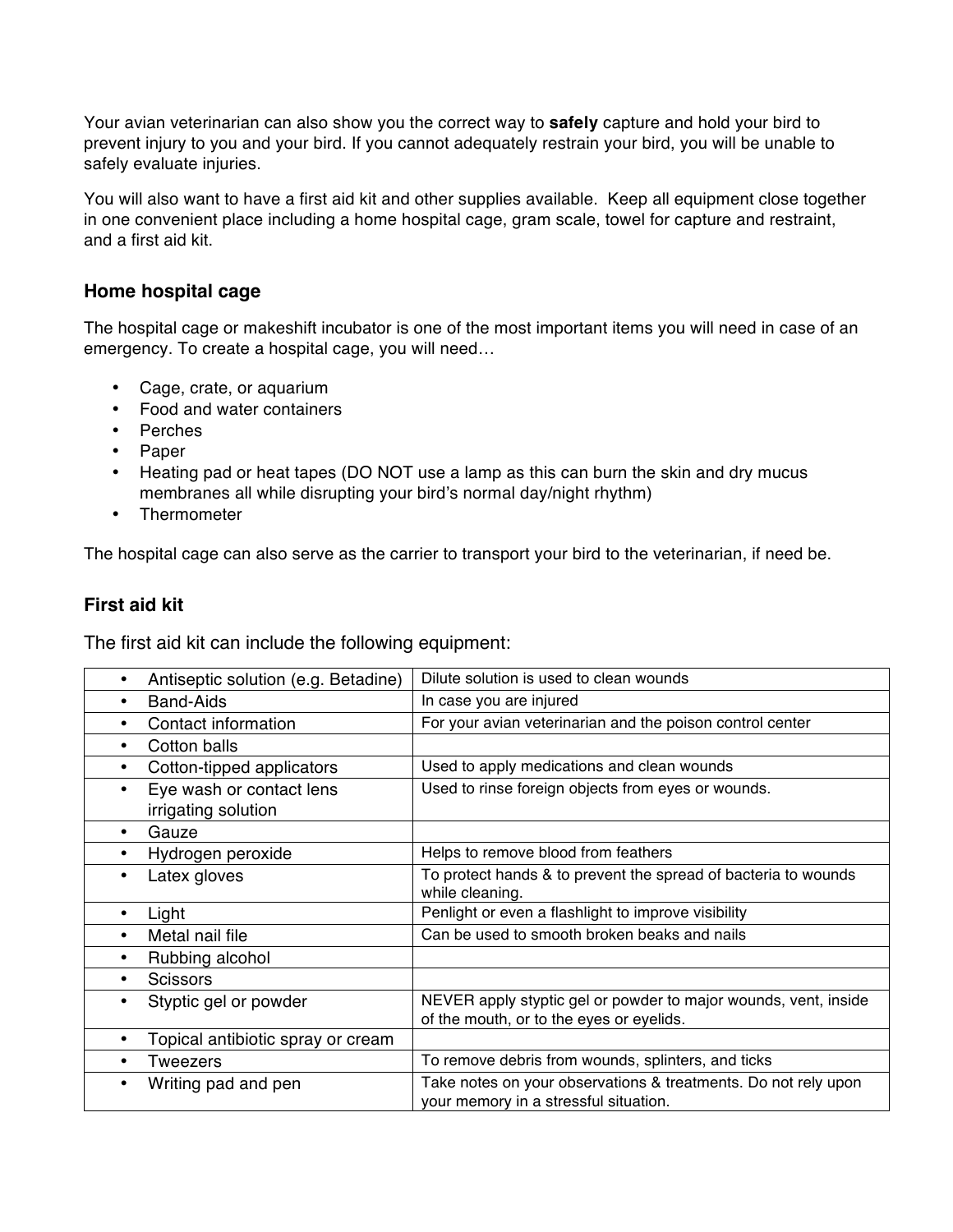Your avian veterinarian can also show you the correct way to **safely** capture and hold your bird to prevent injury to you and your bird. If you cannot adequately restrain your bird, you will be unable to safely evaluate injuries.

You will also want to have a first aid kit and other supplies available. Keep all equipment close together in one convenient place including a home hospital cage, gram scale, towel for capture and restraint, and a first aid kit.

### **Home hospital cage**

The hospital cage or makeshift incubator is one of the most important items you will need in case of an emergency. To create a hospital cage, you will need…

- Cage, crate, or aquarium
- Food and water containers
- Perches
- Paper
- Heating pad or heat tapes (DO NOT use a lamp as this can burn the skin and dry mucus membranes all while disrupting your bird's normal day/night rhythm)
- Thermometer

The hospital cage can also serve as the carrier to transport your bird to the veterinarian, if need be.

### **First aid kit**

The first aid kit can include the following equipment:

| Dilute solution is used to clean wounds                                                                     |
|-------------------------------------------------------------------------------------------------------------|
| In case you are injured                                                                                     |
| For your avian veterinarian and the poison control center                                                   |
|                                                                                                             |
| Used to apply medications and clean wounds                                                                  |
| Used to rinse foreign objects from eyes or wounds.                                                          |
|                                                                                                             |
| Helps to remove blood from feathers                                                                         |
| To protect hands & to prevent the spread of bacteria to wounds<br>while cleaning.                           |
| Penlight or even a flashlight to improve visibility                                                         |
| Can be used to smooth broken beaks and nails                                                                |
|                                                                                                             |
|                                                                                                             |
| NEVER apply styptic gel or powder to major wounds, vent, inside<br>of the mouth, or to the eyes or eyelids. |
|                                                                                                             |
| To remove debris from wounds, splinters, and ticks                                                          |
| Take notes on your observations & treatments. Do not rely upon<br>your memory in a stressful situation.     |
|                                                                                                             |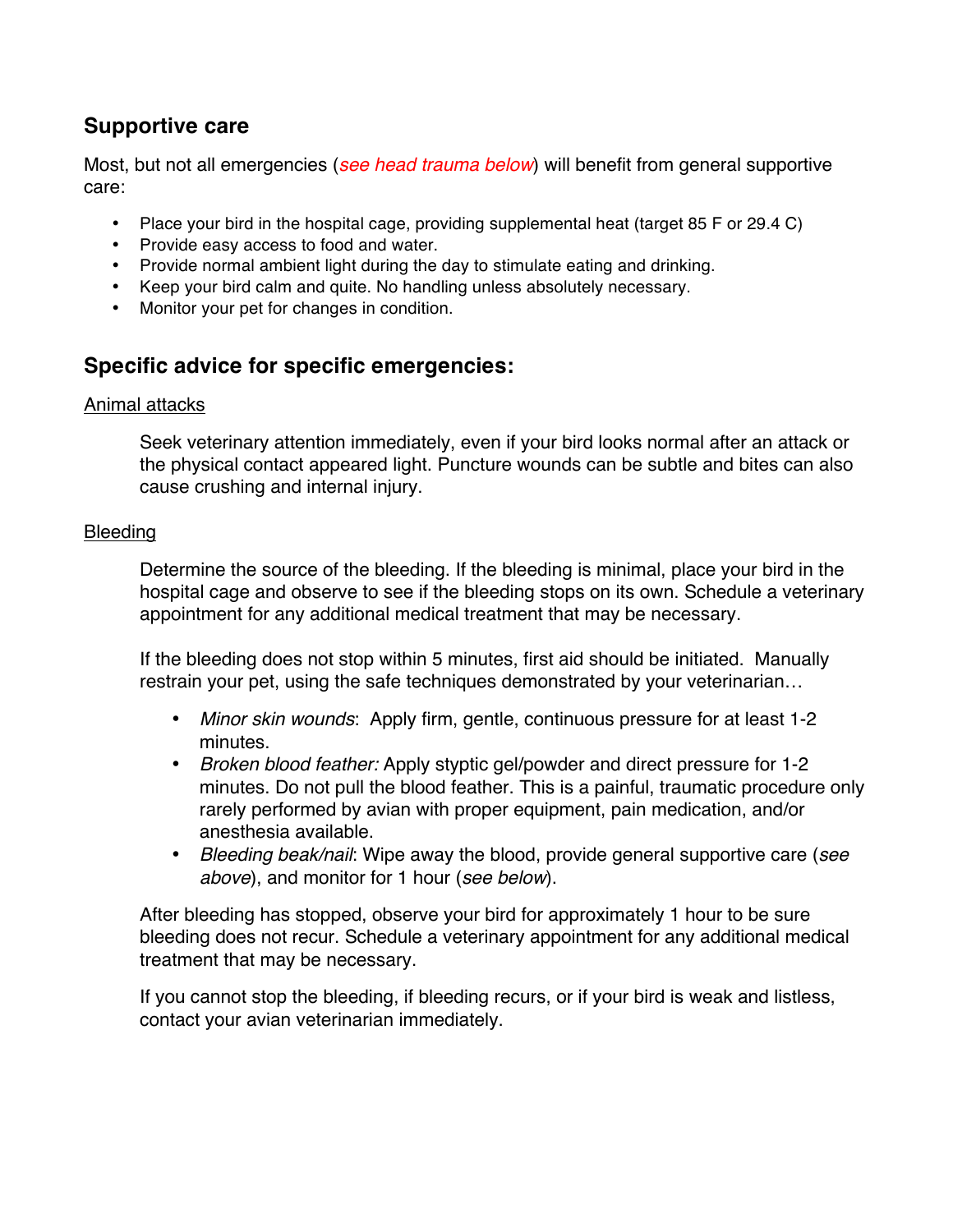# **Supportive care**

Most, but not all emergencies (*see head trauma below*) will benefit from general supportive care:

- Place your bird in the hospital cage, providing supplemental heat (target 85 F or 29.4 C)
- Provide easy access to food and water.
- Provide normal ambient light during the day to stimulate eating and drinking.
- Keep your bird calm and quite. No handling unless absolutely necessary.
- Monitor your pet for changes in condition.

# **Specific advice for specific emergencies:**

## Animal attacks

Seek veterinary attention immediately, even if your bird looks normal after an attack or the physical contact appeared light. Puncture wounds can be subtle and bites can also cause crushing and internal injury.

## Bleeding

Determine the source of the bleeding. If the bleeding is minimal, place your bird in the hospital cage and observe to see if the bleeding stops on its own. Schedule a veterinary appointment for any additional medical treatment that may be necessary.

If the bleeding does not stop within 5 minutes, first aid should be initiated. Manually restrain your pet, using the safe techniques demonstrated by your veterinarian…

- *Minor skin wounds*: Apply firm, gentle, continuous pressure for at least 1-2 minutes.
- *Broken blood feather:* Apply styptic gel/powder and direct pressure for 1-2 minutes. Do not pull the blood feather. This is a painful, traumatic procedure only rarely performed by avian with proper equipment, pain medication, and/or anesthesia available.
- *Bleeding beak/nail*: Wipe away the blood, provide general supportive care (*see above*), and monitor for 1 hour (*see below*).

After bleeding has stopped, observe your bird for approximately 1 hour to be sure bleeding does not recur. Schedule a veterinary appointment for any additional medical treatment that may be necessary.

If you cannot stop the bleeding, if bleeding recurs, or if your bird is weak and listless, contact your avian veterinarian immediately.